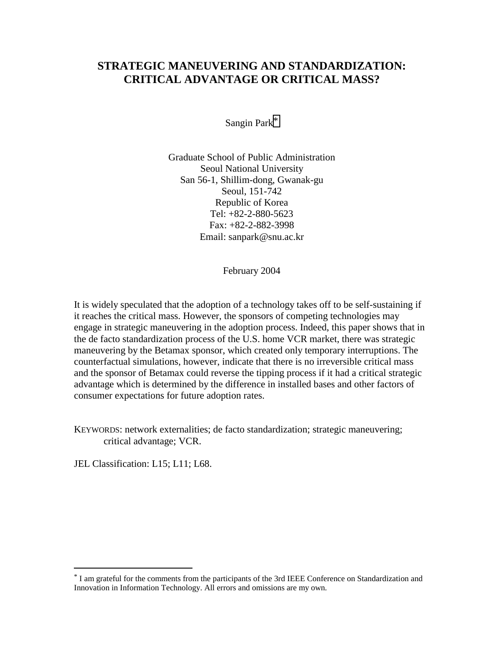# **STRATEGIC MANEUVERING AND STANDARDIZATION: CRITICAL ADVANTAGE OR CRITICAL MASS?**

Sangin Park\*

Graduate School of Public Administration Seoul National University San 56-1, Shillim-dong, Gwanak-gu Seoul, 151-742 Republic of Korea Tel: +82-2-880-5623 Fax: +82-2-882-3998 Email: sanpark@snu.ac.kr

February 2004

It is widely speculated that the adoption of a technology takes off to be self-sustaining if it reaches the critical mass. However, the sponsors of competing technologies may engage in strategic maneuvering in the adoption process. Indeed, this paper shows that in the de facto standardization process of the U.S. home VCR market, there was strategic maneuvering by the Betamax sponsor, which created only temporary interruptions. The counterfactual simulations, however, indicate that there is no irreversible critical mass and the sponsor of Betamax could reverse the tipping process if it had a critical strategic advantage which is determined by the difference in installed bases and other factors of consumer expectations for future adoption rates.

KEYWORDS: network externalities; de facto standardization; strategic maneuvering; critical advantage; VCR.

JEL Classification: L15; L11; L68.

<sup>\*</sup> I am grateful for the comments from the participants of the 3rd IEEE Conference on Standardization and Innovation in Information Technology. All errors and omissions are my own.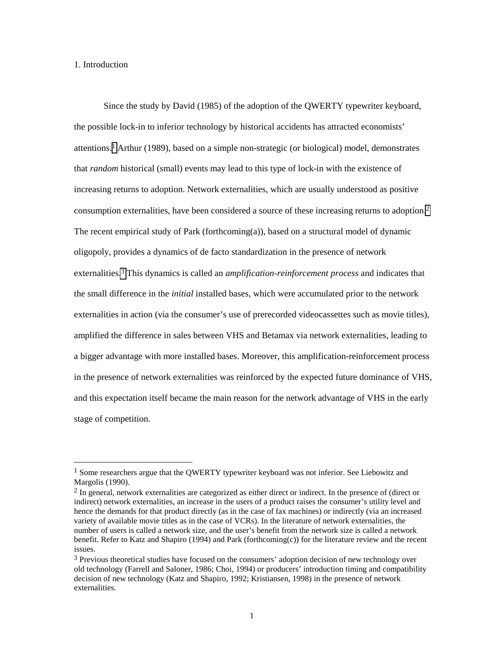## 1. Introduction

 $\overline{a}$ 

 Since the study by David (1985) of the adoption of the QWERTY typewriter keyboard, the possible lock-in to inferior technology by historical accidents has attracted economists' attentions.1 Arthur (1989), based on a simple non-strategic (or biological) model, demonstrates that *random* historical (small) events may lead to this type of lock-in with the existence of increasing returns to adoption. Network externalities, which are usually understood as positive consumption externalities, have been considered a source of these increasing returns to adoption.2 The recent empirical study of Park (forthcoming(a)), based on a structural model of dynamic oligopoly, provides a dynamics of de facto standardization in the presence of network externalities.3 This dynamics is called an *amplification-reinforcement process* and indicates that the small difference in the *initial* installed bases, which were accumulated prior to the network externalities in action (via the consumer's use of prerecorded videocassettes such as movie titles), amplified the difference in sales between VHS and Betamax via network externalities, leading to a bigger advantage with more installed bases. Moreover, this amplification-reinforcement process in the presence of network externalities was reinforced by the expected future dominance of VHS, and this expectation itself became the main reason for the network advantage of VHS in the early stage of competition.

<sup>&</sup>lt;sup>1</sup> Some researchers argue that the QWERTY typewriter keyboard was not inferior. See Liebowitz and Margolis (1990).

<sup>&</sup>lt;sup>2</sup> In general, network externalities are categorized as either direct or indirect. In the presence of (direct or indirect) network externalities, an increase in the users of a product raises the consumer's utility level and hence the demands for that product directly (as in the case of fax machines) or indirectly (via an increased variety of available movie titles as in the case of VCRs). In the literature of network externalities, the number of users is called a network size, and the user's benefit from the network size is called a network benefit. Refer to Katz and Shapiro (1994) and Park (forthcoming(c)) for the literature review and the recent issues.

<sup>&</sup>lt;sup>3</sup> Previous theoretical studies have focused on the consumers' adoption decision of new technology over old technology (Farrell and Saloner, 1986; Choi, 1994) or producers' introduction timing and compatibility decision of new technology (Katz and Shapiro, 1992; Kristiansen, 1998) in the presence of network externalities.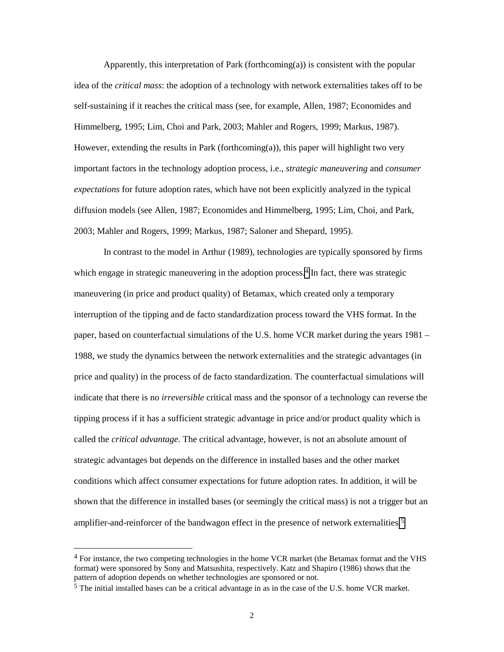Apparently, this interpretation of Park (forthcoming(a)) is consistent with the popular idea of the *critical mass*: the adoption of a technology with network externalities takes off to be self-sustaining if it reaches the critical mass (see, for example, Allen, 1987; Economides and Himmelberg, 1995; Lim, Choi and Park, 2003; Mahler and Rogers, 1999; Markus, 1987). However, extending the results in Park (forthcoming(a)), this paper will highlight two very important factors in the technology adoption process, i.e., *strategic maneuvering* and *consumer expectations* for future adoption rates, which have not been explicitly analyzed in the typical diffusion models (see Allen, 1987; Economides and Himmelberg, 1995; Lim, Choi, and Park, 2003; Mahler and Rogers, 1999; Markus, 1987; Saloner and Shepard, 1995).

In contrast to the model in Arthur (1989), technologies are typically sponsored by firms which engage in strategic maneuvering in the adoption process.<sup>4</sup> In fact, there was strategic maneuvering (in price and product quality) of Betamax, which created only a temporary interruption of the tipping and de facto standardization process toward the VHS format. In the paper, based on counterfactual simulations of the U.S. home VCR market during the years 1981 – 1988, we study the dynamics between the network externalities and the strategic advantages (in price and quality) in the process of de facto standardization. The counterfactual simulations will indicate that there is no *irreversible* critical mass and the sponsor of a technology can reverse the tipping process if it has a sufficient strategic advantage in price and/or product quality which is called the *critical advantage*. The critical advantage, however, is not an absolute amount of strategic advantages but depends on the difference in installed bases and the other market conditions which affect consumer expectations for future adoption rates. In addition, it will be shown that the difference in installed bases (or seemingly the critical mass) is not a trigger but an amplifier-and-reinforcer of the bandwagon effect in the presence of network externalities.5

 $4$  For instance, the two competing technologies in the home VCR market (the Betamax format and the VHS format) were sponsored by Sony and Matsushita, respectively. Katz and Shapiro (1986) shows that the pattern of adoption depends on whether technologies are sponsored or not.

<sup>5</sup> The initial installed bases can be a critical advantage in as in the case of the U.S. home VCR market.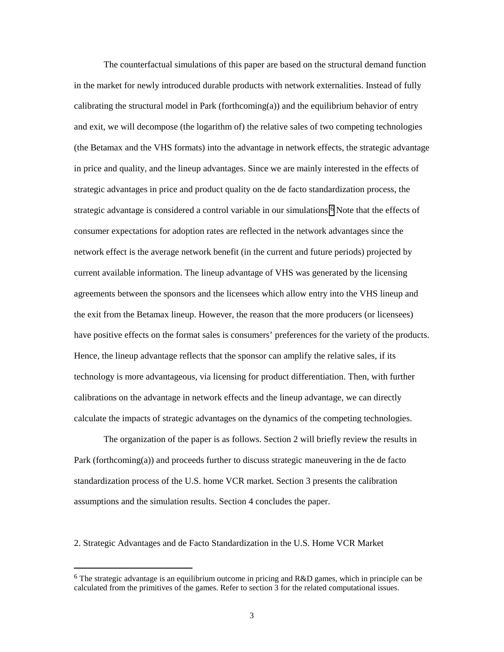The counterfactual simulations of this paper are based on the structural demand function in the market for newly introduced durable products with network externalities. Instead of fully calibrating the structural model in Park (forthcoming(a)) and the equilibrium behavior of entry and exit, we will decompose (the logarithm of) the relative sales of two competing technologies (the Betamax and the VHS formats) into the advantage in network effects, the strategic advantage in price and quality, and the lineup advantages. Since we are mainly interested in the effects of strategic advantages in price and product quality on the de facto standardization process, the strategic advantage is considered a control variable in our simulations.<sup>6</sup> Note that the effects of consumer expectations for adoption rates are reflected in the network advantages since the network effect is the average network benefit (in the current and future periods) projected by current available information. The lineup advantage of VHS was generated by the licensing agreements between the sponsors and the licensees which allow entry into the VHS lineup and the exit from the Betamax lineup. However, the reason that the more producers (or licensees) have positive effects on the format sales is consumers' preferences for the variety of the products. Hence, the lineup advantage reflects that the sponsor can amplify the relative sales, if its technology is more advantageous, via licensing for product differentiation. Then, with further calibrations on the advantage in network effects and the lineup advantage, we can directly calculate the impacts of strategic advantages on the dynamics of the competing technologies.

 The organization of the paper is as follows. Section 2 will briefly review the results in Park (forthcoming(a)) and proceeds further to discuss strategic maneuvering in the de facto standardization process of the U.S. home VCR market. Section 3 presents the calibration assumptions and the simulation results. Section 4 concludes the paper.

2. Strategic Advantages and de Facto Standardization in the U.S. Home VCR Market

<sup>&</sup>lt;sup>6</sup> The strategic advantage is an equilibrium outcome in pricing and R&D games, which in principle can be calculated from the primitives of the games. Refer to section 3 for the related computational issues.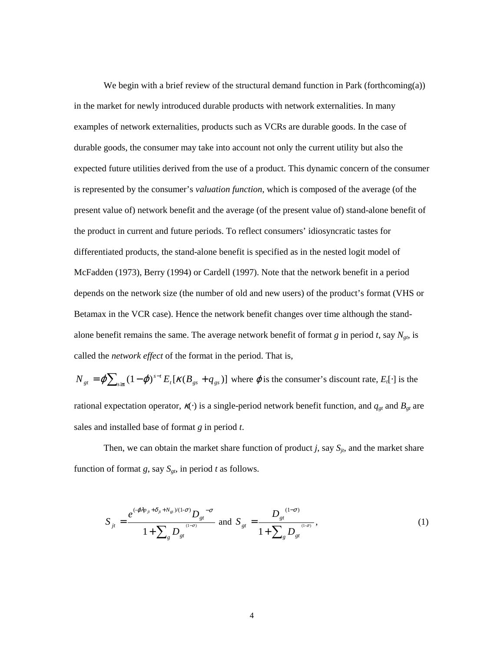We begin with a brief review of the structural demand function in Park (forthcoming(a)) in the market for newly introduced durable products with network externalities. In many examples of network externalities, products such as VCRs are durable goods. In the case of durable goods, the consumer may take into account not only the current utility but also the expected future utilities derived from the use of a product. This dynamic concern of the consumer is represented by the consumer's *valuation function*, which is composed of the average (of the present value of) network benefit and the average (of the present value of) stand-alone benefit of the product in current and future periods. To reflect consumers' idiosyncratic tastes for differentiated products, the stand-alone benefit is specified as in the nested logit model of McFadden (1973), Berry (1994) or Cardell (1997). Note that the network benefit in a period depends on the network size (the number of old and new users) of the product's format (VHS or Betamax in the VCR case). Hence the network benefit changes over time although the standalone benefit remains the same. The average network benefit of format  $g$  in period  $t$ , say  $N_{gt}$ , is called the *network effect* of the format in the period. That is,

 $N_{gt} = \varphi \sum_{s \ge t} (1 - \varphi)^{s-t} E_t[\kappa (B_{gs} + q_{gs})]$  where  $\varphi$  is the consumer's discount rate,  $E_t[\cdot]$  is the rational expectation operator,  $\kappa(\cdot)$  is a single-period network benefit function, and  $q_{gt}$  and  $B_{gt}$  are sales and installed base of format *g* in period *t*.

Then, we can obtain the market share function of product *j*, say  $S_{it}$ , and the market share function of format *g*, say  $S_{gt}$ , in period *t* as follows.

$$
S_{jt} = \frac{e^{(-\varphi \lambda p_{jt} + \delta_{jt} + N_{gt})(1-\sigma)} D_{gt}^{-\sigma}}{1 + \sum_{g} D_{gt}} \text{ and } S_{gt} = \frac{D_{gt}^{(1-\sigma)}}{1 + \sum_{g} D_{gt}^{(1-\sigma)}},
$$
(1)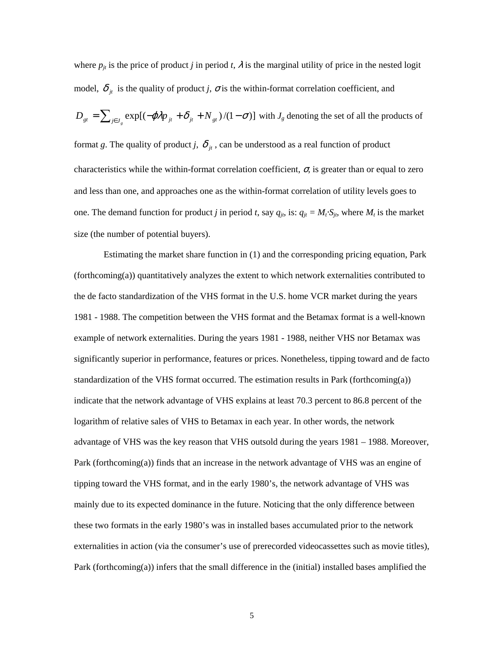where  $p_{it}$  is the price of product *j* in period *t*,  $\lambda$  is the marginal utility of price in the nested logit model,  $\delta_{it}$  is the quality of product *j*,  $\sigma$  is the within-format correlation coefficient, and  $D_{gt} = \sum_{j \in J_g} \exp[(-\varphi \lambda p_{jt} + \delta_{jt} + N_{gt})/(1 - \sigma)]$  with  $J_g$  denoting the set of all the products of format *g*. The quality of product *j*,  $\delta_{it}$ , can be understood as a real function of product characteristics while the within-format correlation coefficient,  $\sigma$  is greater than or equal to zero and less than one, and approaches one as the within-format correlation of utility levels goes to one. The demand function for product *j* in period *t*, say  $q_{jt}$ , is:  $q_{jt} = M_t \cdot S_{jt}$ , where  $M_t$  is the market size (the number of potential buyers).

 Estimating the market share function in (1) and the corresponding pricing equation, Park (forthcoming(a)) quantitatively analyzes the extent to which network externalities contributed to the de facto standardization of the VHS format in the U.S. home VCR market during the years 1981 - 1988. The competition between the VHS format and the Betamax format is a well-known example of network externalities. During the years 1981 - 1988, neither VHS nor Betamax was significantly superior in performance, features or prices. Nonetheless, tipping toward and de facto standardization of the VHS format occurred. The estimation results in Park (forthcoming(a)) indicate that the network advantage of VHS explains at least 70.3 percent to 86.8 percent of the logarithm of relative sales of VHS to Betamax in each year. In other words, the network advantage of VHS was the key reason that VHS outsold during the years 1981 – 1988. Moreover, Park (forthcoming(a)) finds that an increase in the network advantage of VHS was an engine of tipping toward the VHS format, and in the early 1980's, the network advantage of VHS was mainly due to its expected dominance in the future. Noticing that the only difference between these two formats in the early 1980's was in installed bases accumulated prior to the network externalities in action (via the consumer's use of prerecorded videocassettes such as movie titles), Park (forthcoming(a)) infers that the small difference in the (initial) installed bases amplified the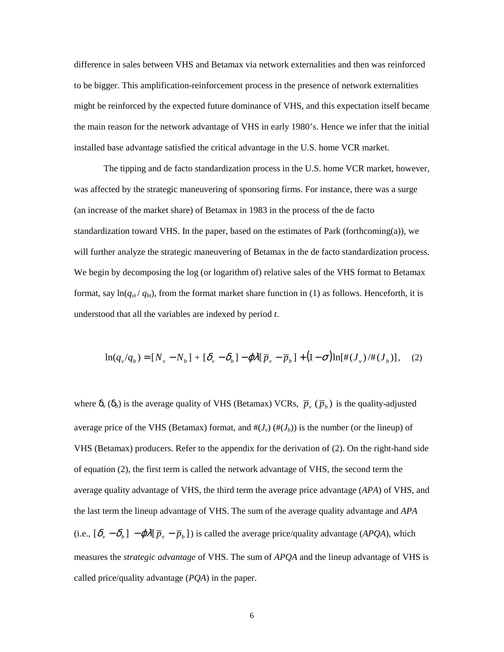difference in sales between VHS and Betamax via network externalities and then was reinforced to be bigger. This amplification-reinforcement process in the presence of network externalities might be reinforced by the expected future dominance of VHS, and this expectation itself became the main reason for the network advantage of VHS in early 1980's. Hence we infer that the initial installed base advantage satisfied the critical advantage in the U.S. home VCR market.

The tipping and de facto standardization process in the U.S. home VCR market, however, was affected by the strategic maneuvering of sponsoring firms. For instance, there was a surge (an increase of the market share) of Betamax in 1983 in the process of the de facto standardization toward VHS. In the paper, based on the estimates of Park (forthcoming(a)), we will further analyze the strategic maneuvering of Betamax in the de facto standardization process. We begin by decomposing the log (or logarithm of) relative sales of the VHS format to Betamax format, say  $\ln(q_{vt}/q_{bt})$ , from the format market share function in (1) as follows. Henceforth, it is understood that all the variables are indexed by period *t*.

$$
\ln(q_{\nu}/q_{b}) = [N_{\nu} - N_{b}] + [\delta_{\nu} - \delta_{b}] - \varphi \lambda [\overline{p}_{\nu} - \overline{p}_{b}] + (1 - \sigma) \ln[\#(J_{\nu})/\#(J_{b})], \quad (2)
$$

where  $\delta_{\nu}(\delta_b)$  is the average quality of VHS (Betamax) VCRs,  $\bar{p}_{\nu}(\bar{p}_b)$  is the quality-adjusted average price of the VHS (Betamax) format, and  $\#(J_v)$  ( $\#(J_b)$ ) is the number (or the lineup) of VHS (Betamax) producers. Refer to the appendix for the derivation of (2). On the right-hand side of equation (2), the first term is called the network advantage of VHS, the second term the average quality advantage of VHS, the third term the average price advantage (*APA*) of VHS, and the last term the lineup advantage of VHS. The sum of the average quality advantage and *APA*  (i.e.,  $[\delta_y - \delta_b] - \varphi \lambda [\overline{p}_y - \overline{p}_b]$ ) is called the average price/quality advantage (*APQA*), which measures the *strategic advantage* of VHS. The sum of *APQA* and the lineup advantage of VHS is called price/quality advantage (*PQA*) in the paper.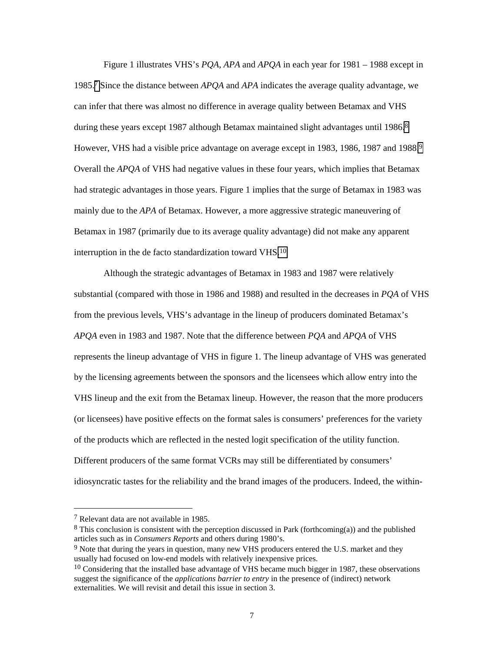Figure 1 illustrates VHS's *PQA*, *APA* and *APQA* in each year for 1981 – 1988 except in 1985.7 Since the distance between *APQA* and *APA* indicates the average quality advantage, we can infer that there was almost no difference in average quality between Betamax and VHS during these years except 1987 although Betamax maintained slight advantages until 1986.<sup>8</sup> However, VHS had a visible price advantage on average except in 1983, 1986, 1987 and 1988.<sup>9</sup> Overall the *APQA* of VHS had negative values in these four years, which implies that Betamax had strategic advantages in those years. Figure 1 implies that the surge of Betamax in 1983 was mainly due to the *APA* of Betamax. However, a more aggressive strategic maneuvering of Betamax in 1987 (primarily due to its average quality advantage) did not make any apparent interruption in the de facto standardization toward VHS.10

Although the strategic advantages of Betamax in 1983 and 1987 were relatively substantial (compared with those in 1986 and 1988) and resulted in the decreases in *PQA* of VHS from the previous levels, VHS's advantage in the lineup of producers dominated Betamax's *APQA* even in 1983 and 1987. Note that the difference between *PQA* and *APQA* of VHS represents the lineup advantage of VHS in figure 1. The lineup advantage of VHS was generated by the licensing agreements between the sponsors and the licensees which allow entry into the VHS lineup and the exit from the Betamax lineup. However, the reason that the more producers (or licensees) have positive effects on the format sales is consumers' preferences for the variety of the products which are reflected in the nested logit specification of the utility function. Different producers of the same format VCRs may still be differentiated by consumers' idiosyncratic tastes for the reliability and the brand images of the producers. Indeed, the within-

<sup>7</sup> Relevant data are not available in 1985.

 $8$  This conclusion is consistent with the perception discussed in Park (forthcoming(a)) and the published articles such as in *Consumers Reports* and others during 1980's.

<sup>&</sup>lt;sup>9</sup> Note that during the years in question, many new VHS producers entered the U.S. market and they usually had focused on low-end models with relatively inexpensive prices.

<sup>&</sup>lt;sup>10</sup> Considering that the installed base advantage of VHS became much bigger in 1987, these observations suggest the significance of the *applications barrier to entry* in the presence of (indirect) network externalities. We will revisit and detail this issue in section 3.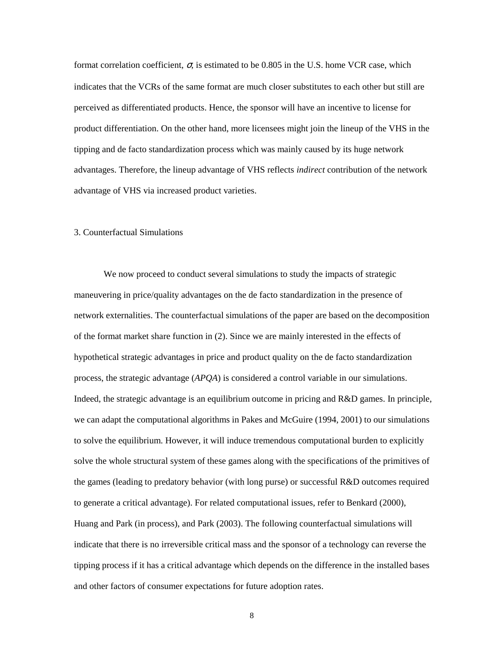format correlation coefficient,  $\sigma$ , is estimated to be 0.805 in the U.S. home VCR case, which indicates that the VCRs of the same format are much closer substitutes to each other but still are perceived as differentiated products. Hence, the sponsor will have an incentive to license for product differentiation. On the other hand, more licensees might join the lineup of the VHS in the tipping and de facto standardization process which was mainly caused by its huge network advantages. Therefore, the lineup advantage of VHS reflects *indirect* contribution of the network advantage of VHS via increased product varieties.

#### 3. Counterfactual Simulations

We now proceed to conduct several simulations to study the impacts of strategic maneuvering in price/quality advantages on the de facto standardization in the presence of network externalities. The counterfactual simulations of the paper are based on the decomposition of the format market share function in (2). Since we are mainly interested in the effects of hypothetical strategic advantages in price and product quality on the de facto standardization process, the strategic advantage (*APQA*) is considered a control variable in our simulations. Indeed, the strategic advantage is an equilibrium outcome in pricing and R&D games. In principle, we can adapt the computational algorithms in Pakes and McGuire (1994, 2001) to our simulations to solve the equilibrium. However, it will induce tremendous computational burden to explicitly solve the whole structural system of these games along with the specifications of the primitives of the games (leading to predatory behavior (with long purse) or successful R&D outcomes required to generate a critical advantage). For related computational issues, refer to Benkard (2000), Huang and Park (in process), and Park (2003). The following counterfactual simulations will indicate that there is no irreversible critical mass and the sponsor of a technology can reverse the tipping process if it has a critical advantage which depends on the difference in the installed bases and other factors of consumer expectations for future adoption rates.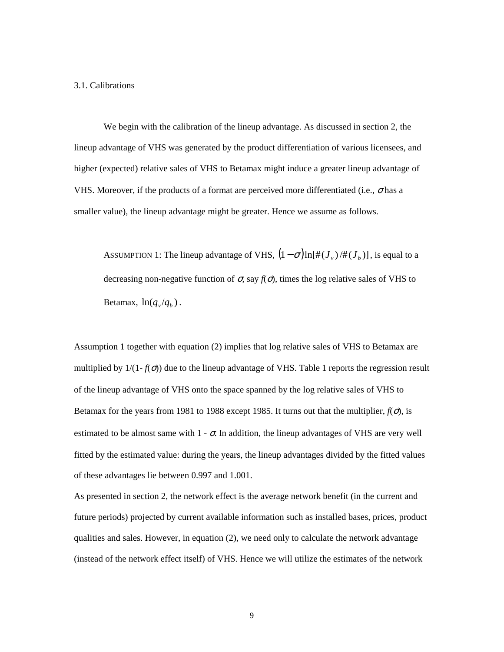### 3.1. Calibrations

 We begin with the calibration of the lineup advantage. As discussed in section 2, the lineup advantage of VHS was generated by the product differentiation of various licensees, and higher (expected) relative sales of VHS to Betamax might induce a greater lineup advantage of VHS. Moreover, if the products of a format are perceived more differentiated (i.e.,  $\sigma$  has a smaller value), the lineup advantage might be greater. Hence we assume as follows.

ASSUMPTION 1: The lineup advantage of VHS,  $(1 - \sigma) \ln[\#(J_v)/\#(J_v)]$ , is equal to a decreasing non-negative function of  $\sigma$ , say  $f(\sigma)$ , times the log relative sales of VHS to Betamax,  $ln(q_v/q_h)$ .

Assumption 1 together with equation (2) implies that log relative sales of VHS to Betamax are multiplied by  $1/(1-f(\sigma))$  due to the lineup advantage of VHS. Table 1 reports the regression result of the lineup advantage of VHS onto the space spanned by the log relative sales of VHS to Betamax for the years from 1981 to 1988 except 1985. It turns out that the multiplier,  $f(\sigma)$ , is estimated to be almost same with  $1 - \sigma$ . In addition, the lineup advantages of VHS are very well fitted by the estimated value: during the years, the lineup advantages divided by the fitted values of these advantages lie between 0.997 and 1.001.

As presented in section 2, the network effect is the average network benefit (in the current and future periods) projected by current available information such as installed bases, prices, product qualities and sales. However, in equation (2), we need only to calculate the network advantage (instead of the network effect itself) of VHS. Hence we will utilize the estimates of the network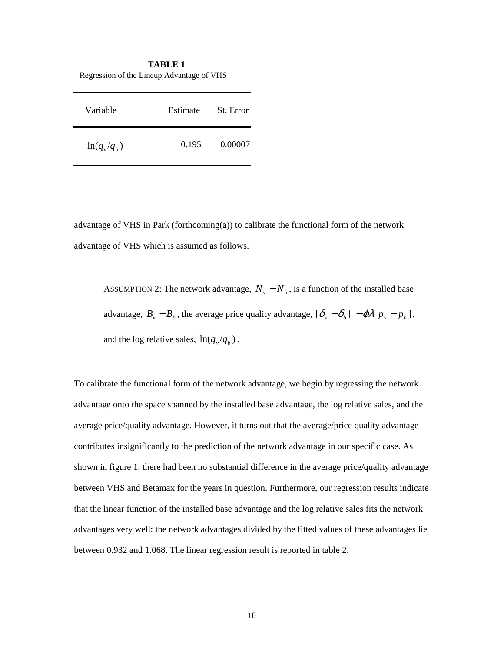**TABLE 1**  Regression of the Lineup Advantage of VHS

| Variable      | Estimate | St. Error |
|---------------|----------|-----------|
| $ln(q_v/q_h)$ | 0.195    | 0.00007   |

advantage of VHS in Park (forthcoming $(a)$ ) to calibrate the functional form of the network advantage of VHS which is assumed as follows.

ASSUMPTION 2: The network advantage,  $N_v - N_b$ , is a function of the installed base advantage,  $B_y - B_b$ , the average price quality advantage,  $[\delta_y - \delta_b] - \varphi \lambda [\bar{p}_y - \bar{p}_b]$ , and the log relative sales,  $ln(q_v/q_b)$ .

To calibrate the functional form of the network advantage, we begin by regressing the network advantage onto the space spanned by the installed base advantage, the log relative sales, and the average price/quality advantage. However, it turns out that the average/price quality advantage contributes insignificantly to the prediction of the network advantage in our specific case. As shown in figure 1, there had been no substantial difference in the average price/quality advantage between VHS and Betamax for the years in question. Furthermore, our regression results indicate that the linear function of the installed base advantage and the log relative sales fits the network advantages very well: the network advantages divided by the fitted values of these advantages lie between 0.932 and 1.068. The linear regression result is reported in table 2.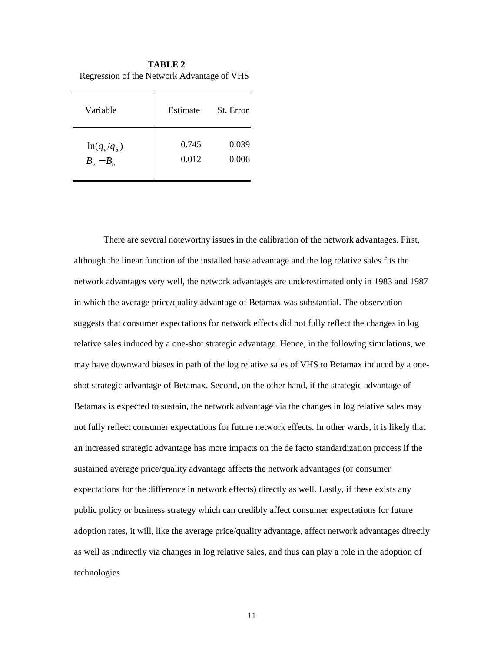| <b>TABLE 2</b>                             |  |  |
|--------------------------------------------|--|--|
| Regression of the Network Advantage of VHS |  |  |

| Variable      | Estimate | St. Error |
|---------------|----------|-----------|
| $ln(q_v/q_h)$ | 0.745    | 0.039     |
| $B_v - B_h$   | 0.012    | 0.006     |

There are several noteworthy issues in the calibration of the network advantages. First, although the linear function of the installed base advantage and the log relative sales fits the network advantages very well, the network advantages are underestimated only in 1983 and 1987 in which the average price/quality advantage of Betamax was substantial. The observation suggests that consumer expectations for network effects did not fully reflect the changes in log relative sales induced by a one-shot strategic advantage. Hence, in the following simulations, we may have downward biases in path of the log relative sales of VHS to Betamax induced by a oneshot strategic advantage of Betamax. Second, on the other hand, if the strategic advantage of Betamax is expected to sustain, the network advantage via the changes in log relative sales may not fully reflect consumer expectations for future network effects. In other wards, it is likely that an increased strategic advantage has more impacts on the de facto standardization process if the sustained average price/quality advantage affects the network advantages (or consumer expectations for the difference in network effects) directly as well. Lastly, if these exists any public policy or business strategy which can credibly affect consumer expectations for future adoption rates, it will, like the average price/quality advantage, affect network advantages directly as well as indirectly via changes in log relative sales, and thus can play a role in the adoption of technologies.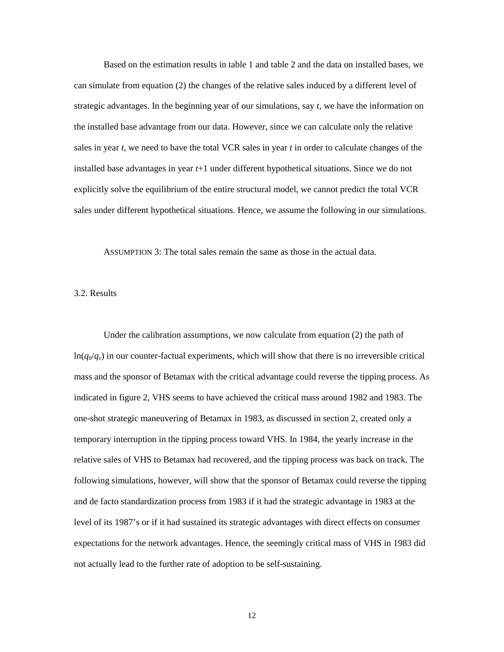Based on the estimation results in table 1 and table 2 and the data on installed bases, we can simulate from equation (2) the changes of the relative sales induced by a different level of strategic advantages. In the beginning year of our simulations, say *t*, we have the information on the installed base advantage from our data. However, since we can calculate only the relative sales in year *t*, we need to have the total VCR sales in year *t* in order to calculate changes of the installed base advantages in year *t*+1 under different hypothetical situations. Since we do not explicitly solve the equilibrium of the entire structural model, we cannot predict the total VCR sales under different hypothetical situations. Hence, we assume the following in our simulations.

ASSUMPTION 3: The total sales remain the same as those in the actual data.

#### 3.2. Results

Under the calibration assumptions, we now calculate from equation (2) the path of  $ln(q_b/q_v)$  in our counter-factual experiments, which will show that there is no irreversible critical mass and the sponsor of Betamax with the critical advantage could reverse the tipping process. As indicated in figure 2, VHS seems to have achieved the critical mass around 1982 and 1983. The one-shot strategic maneuvering of Betamax in 1983, as discussed in section 2, created only a temporary interruption in the tipping process toward VHS. In 1984, the yearly increase in the relative sales of VHS to Betamax had recovered, and the tipping process was back on track. The following simulations, however, will show that the sponsor of Betamax could reverse the tipping and de facto standardization process from 1983 if it had the strategic advantage in 1983 at the level of its 1987's or if it had sustained its strategic advantages with direct effects on consumer expectations for the network advantages. Hence, the seemingly critical mass of VHS in 1983 did not actually lead to the further rate of adoption to be self-sustaining.

12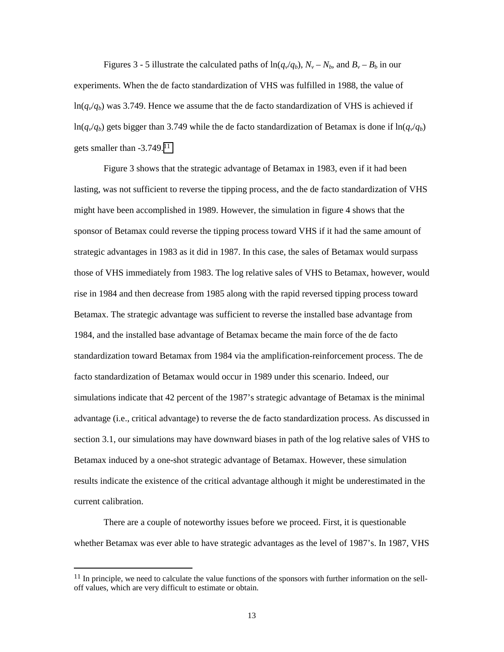Figures 3 - 5 illustrate the calculated paths of  $\ln(q_v/q_b)$ ,  $N_v - N_b$ , and  $B_v - B_b$  in our experiments. When the de facto standardization of VHS was fulfilled in 1988, the value of  $ln(q_v/q_b)$  was 3.749. Hence we assume that the de facto standardization of VHS is achieved if  $ln(q_v/q_b)$  gets bigger than 3.749 while the de facto standardization of Betamax is done if  $ln(q_v/q_b)$ gets smaller than -3.749.11

Figure 3 shows that the strategic advantage of Betamax in 1983, even if it had been lasting, was not sufficient to reverse the tipping process, and the de facto standardization of VHS might have been accomplished in 1989. However, the simulation in figure 4 shows that the sponsor of Betamax could reverse the tipping process toward VHS if it had the same amount of strategic advantages in 1983 as it did in 1987. In this case, the sales of Betamax would surpass those of VHS immediately from 1983. The log relative sales of VHS to Betamax, however, would rise in 1984 and then decrease from 1985 along with the rapid reversed tipping process toward Betamax. The strategic advantage was sufficient to reverse the installed base advantage from 1984, and the installed base advantage of Betamax became the main force of the de facto standardization toward Betamax from 1984 via the amplification-reinforcement process. The de facto standardization of Betamax would occur in 1989 under this scenario. Indeed, our simulations indicate that 42 percent of the 1987's strategic advantage of Betamax is the minimal advantage (i.e., critical advantage) to reverse the de facto standardization process. As discussed in section 3.1, our simulations may have downward biases in path of the log relative sales of VHS to Betamax induced by a one-shot strategic advantage of Betamax. However, these simulation results indicate the existence of the critical advantage although it might be underestimated in the current calibration.

There are a couple of noteworthy issues before we proceed. First, it is questionable whether Betamax was ever able to have strategic advantages as the level of 1987's. In 1987, VHS

 $11$  In principle, we need to calculate the value functions of the sponsors with further information on the selloff values, which are very difficult to estimate or obtain.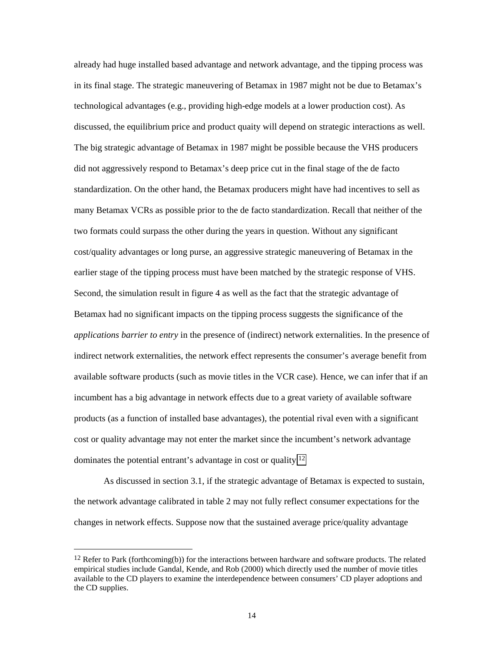already had huge installed based advantage and network advantage, and the tipping process was in its final stage. The strategic maneuvering of Betamax in 1987 might not be due to Betamax's technological advantages (e.g., providing high-edge models at a lower production cost). As discussed, the equilibrium price and product quaity will depend on strategic interactions as well. The big strategic advantage of Betamax in 1987 might be possible because the VHS producers did not aggressively respond to Betamax's deep price cut in the final stage of the de facto standardization. On the other hand, the Betamax producers might have had incentives to sell as many Betamax VCRs as possible prior to the de facto standardization. Recall that neither of the two formats could surpass the other during the years in question. Without any significant cost/quality advantages or long purse, an aggressive strategic maneuvering of Betamax in the earlier stage of the tipping process must have been matched by the strategic response of VHS. Second, the simulation result in figure 4 as well as the fact that the strategic advantage of Betamax had no significant impacts on the tipping process suggests the significance of the *applications barrier to entry* in the presence of (indirect) network externalities. In the presence of indirect network externalities, the network effect represents the consumer's average benefit from available software products (such as movie titles in the VCR case). Hence, we can infer that if an incumbent has a big advantage in network effects due to a great variety of available software products (as a function of installed base advantages), the potential rival even with a significant cost or quality advantage may not enter the market since the incumbent's network advantage dominates the potential entrant's advantage in cost or quality.12

As discussed in section 3.1, if the strategic advantage of Betamax is expected to sustain, the network advantage calibrated in table 2 may not fully reflect consumer expectations for the changes in network effects. Suppose now that the sustained average price/quality advantage

<sup>&</sup>lt;sup>12</sup> Refer to Park (forthcoming(b)) for the interactions between hardware and software products. The related empirical studies include Gandal, Kende, and Rob (2000) which directly used the number of movie titles available to the CD players to examine the interdependence between consumers' CD player adoptions and the CD supplies.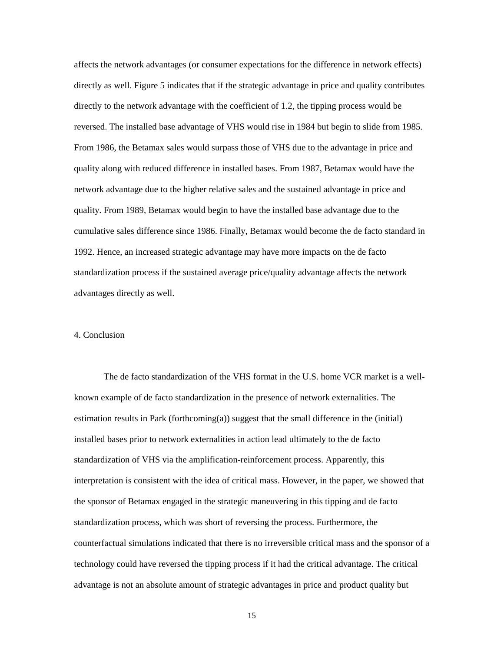affects the network advantages (or consumer expectations for the difference in network effects) directly as well. Figure 5 indicates that if the strategic advantage in price and quality contributes directly to the network advantage with the coefficient of 1.2, the tipping process would be reversed. The installed base advantage of VHS would rise in 1984 but begin to slide from 1985. From 1986, the Betamax sales would surpass those of VHS due to the advantage in price and quality along with reduced difference in installed bases. From 1987, Betamax would have the network advantage due to the higher relative sales and the sustained advantage in price and quality. From 1989, Betamax would begin to have the installed base advantage due to the cumulative sales difference since 1986. Finally, Betamax would become the de facto standard in 1992. Hence, an increased strategic advantage may have more impacts on the de facto standardization process if the sustained average price/quality advantage affects the network advantages directly as well.

## 4. Conclusion

The de facto standardization of the VHS format in the U.S. home VCR market is a wellknown example of de facto standardization in the presence of network externalities. The estimation results in Park (forthcoming(a)) suggest that the small difference in the (initial) installed bases prior to network externalities in action lead ultimately to the de facto standardization of VHS via the amplification-reinforcement process. Apparently, this interpretation is consistent with the idea of critical mass. However, in the paper, we showed that the sponsor of Betamax engaged in the strategic maneuvering in this tipping and de facto standardization process, which was short of reversing the process. Furthermore, the counterfactual simulations indicated that there is no irreversible critical mass and the sponsor of a technology could have reversed the tipping process if it had the critical advantage. The critical advantage is not an absolute amount of strategic advantages in price and product quality but

15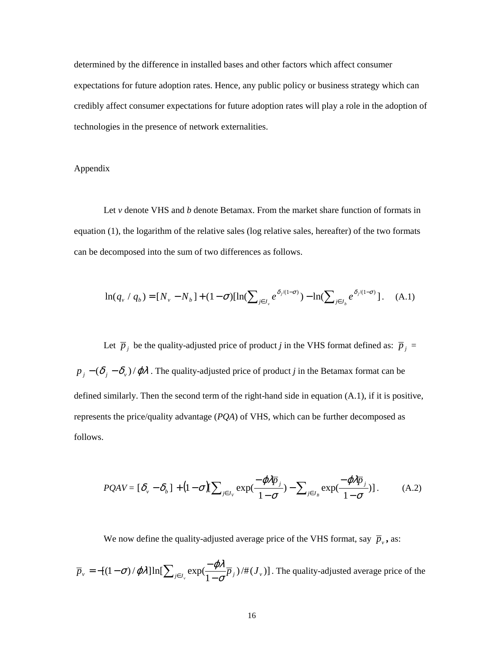determined by the difference in installed bases and other factors which affect consumer expectations for future adoption rates. Hence, any public policy or business strategy which can credibly affect consumer expectations for future adoption rates will play a role in the adoption of technologies in the presence of network externalities.

## Appendix

Let *v* denote VHS and *b* denote Betamax. From the market share function of formats in equation (1), the logarithm of the relative sales (log relative sales, hereafter) of the two formats can be decomposed into the sum of two differences as follows.

$$
\ln(q_v / q_b) = [N_v - N_b] + (1 - \sigma)[\ln(\sum_{j \in J_v} e^{\delta_j/(1 - \sigma)}) - \ln(\sum_{j \in J_b} e^{\delta_j/(1 - \sigma)})].
$$
 (A.1)

Let  $\overline{p}_j$  be the quality-adjusted price of product *j* in the VHS format defined as:  $\overline{p}_j$  =  $p_j - (\delta_j - \delta_v)/\varphi \lambda$ . The quality-adjusted price of product *j* in the Betamax format can be defined similarly. Then the second term of the right-hand side in equation (A.1), if it is positive, represents the price/quality advantage (*PQA*) of VHS, which can be further decomposed as follows.

$$
PQAV = [\delta_v - \delta_b] + (1 - \sigma)[\sum_{j \in J_v} \exp(\frac{-\varphi \lambda \overline{p}_j}{1 - \sigma}) - \sum_{j \in J_B} \exp(\frac{-\varphi \lambda \overline{p}_j}{1 - \sigma})].
$$
 (A.2)

We now define the quality-adjusted average price of the VHS format, say  $\overline{p}_v$ , as:

 $\overline{p}_v = -[(1 - \sigma)/\varphi \lambda] \ln[\sum_{j \in J_v} \exp(\frac{-\varphi \lambda}{1 - \sigma} \overline{p}_j) / \#(J_v)]$ . The quality-adjusted average price of the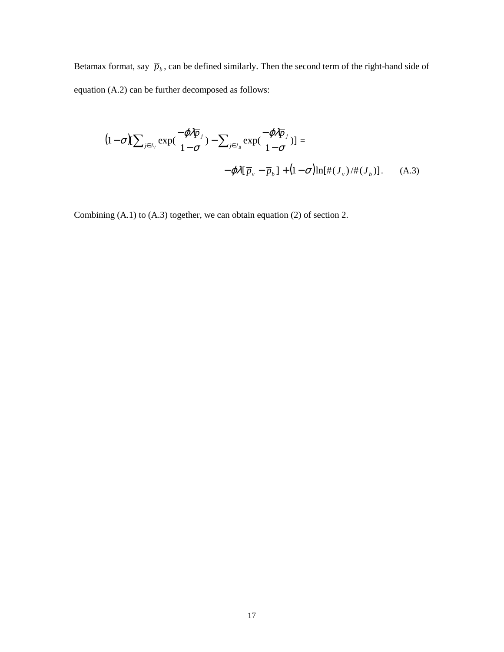Betamax format, say  $\bar{p}_b$ , can be defined similarly. Then the second term of the right-hand side of equation (A.2) can be further decomposed as follows:

$$
(1 - \sigma)[\sum_{j \in J_V} \exp(\frac{-\varphi \lambda \overline{p}_j}{1 - \sigma}) - \sum_{j \in J_B} \exp(\frac{-\varphi \lambda \overline{p}_j}{1 - \sigma})] =
$$
  
-\varphi \lambda [\overline{p}\_v - \overline{p}\_b] + (1 - \sigma)[\ln[\#(J\_v)/\#(J\_b)]. (A.3)

Combining (A.1) to (A.3) together, we can obtain equation (2) of section 2.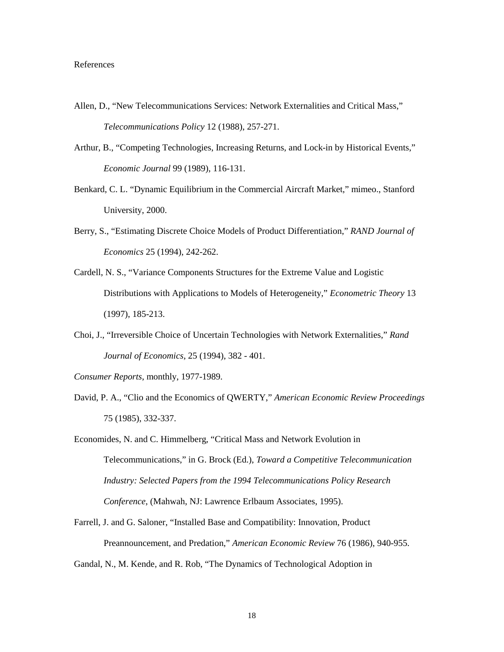#### References

- Allen, D., "New Telecommunications Services: Network Externalities and Critical Mass," *Telecommunications Policy* 12 (1988), 257-271.
- Arthur, B., "Competing Technologies, Increasing Returns, and Lock-in by Historical Events," *Economic Journal* 99 (1989), 116-131.
- Benkard, C. L. "Dynamic Equilibrium in the Commercial Aircraft Market," mimeo., Stanford University, 2000.
- Berry, S., "Estimating Discrete Choice Models of Product Differentiation," *RAND Journal of Economics* 25 (1994), 242-262.
- Cardell, N. S., "Variance Components Structures for the Extreme Value and Logistic Distributions with Applications to Models of Heterogeneity," *Econometric Theory* 13 (1997), 185-213.
- Choi, J., "Irreversible Choice of Uncertain Technologies with Network Externalities," *Rand Journal of Economics*, 25 (1994), 382 - 401.

*Consumer Reports*, monthly, 1977-1989.

- David, P. A., "Clio and the Economics of QWERTY," *American Economic Review Proceedings* 75 (1985), 332-337.
- Economides, N. and C. Himmelberg, "Critical Mass and Network Evolution in Telecommunications," in G. Brock (Ed.), *Toward a Competitive Telecommunication Industry: Selected Papers from the 1994 Telecommunications Policy Research Conference*, (Mahwah, NJ: Lawrence Erlbaum Associates, 1995).
- Farrell, J. and G. Saloner, "Installed Base and Compatibility: Innovation, Product Preannouncement, and Predation," *American Economic Review* 76 (1986), 940-955.
- Gandal, N., M. Kende, and R. Rob, "The Dynamics of Technological Adoption in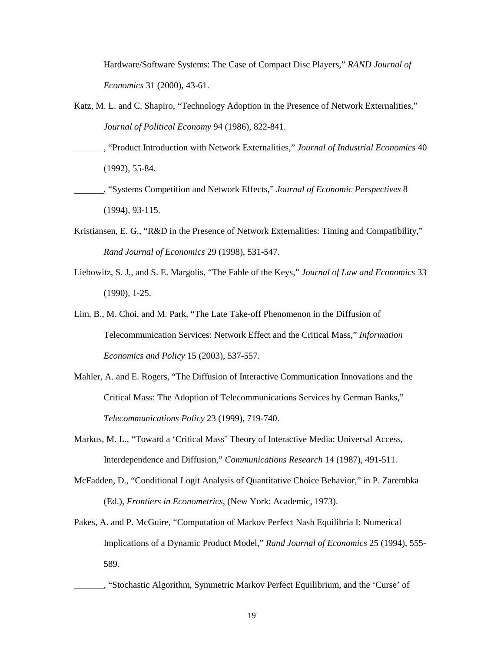Hardware/Software Systems: The Case of Compact Disc Players," *RAND Journal of Economics* 31 (2000), 43-61.

- Katz, M. L. and C. Shapiro, "Technology Adoption in the Presence of Network Externalities," *Journal of Political Economy* 94 (1986), 822-841.
- , "Product Introduction with Network Externalities," *Journal of Industrial Economics* 40 (1992), 55-84.
- , "Systems Competition and Network Effects," *Journal of Economic Perspectives* 8 (1994), 93-115.
- Kristiansen, E. G., "R&D in the Presence of Network Externalities: Timing and Compatibility," *Rand Journal of Economics* 29 (1998), 531-547.
- Liebowitz, S. J., and S. E. Margolis, "The Fable of the Keys," *Journal of Law and Economics* 33 (1990), 1-25.
- Lim, B., M. Choi, and M. Park, "The Late Take-off Phenomenon in the Diffusion of Telecommunication Services: Network Effect and the Critical Mass," *Information Economics and Policy* 15 (2003), 537-557.
- Mahler, A. and E. Rogers, "The Diffusion of Interactive Communication Innovations and the Critical Mass: The Adoption of Telecommunications Services by German Banks," *Telecommunications Policy* 23 (1999), 719-740.
- Markus, M. L., "Toward a 'Critical Mass' Theory of Interactive Media: Universal Access, Interdependence and Diffusion," *Communications Research* 14 (1987), 491-511.
- McFadden, D., "Conditional Logit Analysis of Quantitative Choice Behavior," in P. Zarembka (Ed.), *Frontiers in Econometrics*, (New York: Academic, 1973).
- Pakes, A. and P. McGuire, "Computation of Markov Perfect Nash Equilibria I: Numerical Implications of a Dynamic Product Model," *Rand Journal of Economics* 25 (1994), 555- 589.
	- , "Stochastic Algorithm, Symmetric Markov Perfect Equilibrium, and the 'Curse' of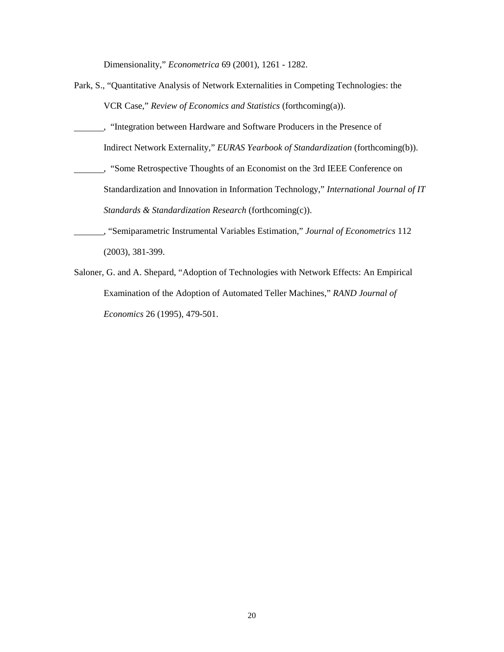Dimensionality," *Econometrica* 69 (2001), 1261 - 1282.

- Park, S., "Quantitative Analysis of Network Externalities in Competing Technologies: the VCR Case," *Review of Economics and Statistics* (forthcoming(a)).
- , "Integration between Hardware and Software Producers in the Presence of Indirect Network Externality," *EURAS Yearbook of Standardization* (forthcoming(b)).
- , "Some Retrospective Thoughts of an Economist on the 3rd IEEE Conference on Standardization and Innovation in Information Technology," *International Journal of IT Standards & Standardization Research* (forthcoming(c)).
- , "Semiparametric Instrumental Variables Estimation," *Journal of Econometrics* 112 (2003), 381-399.
- Saloner, G. and A. Shepard, "Adoption of Technologies with Network Effects: An Empirical Examination of the Adoption of Automated Teller Machines," *RAND Journal of Economics* 26 (1995), 479-501.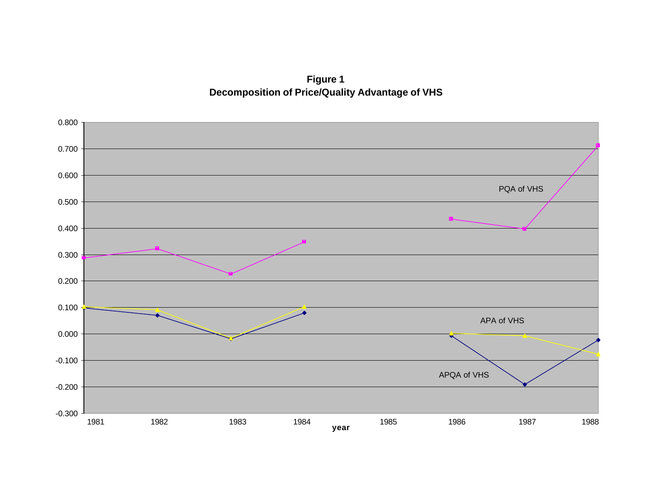**Figure 1 Decomposition of Price/Quality Advantage of VHS**

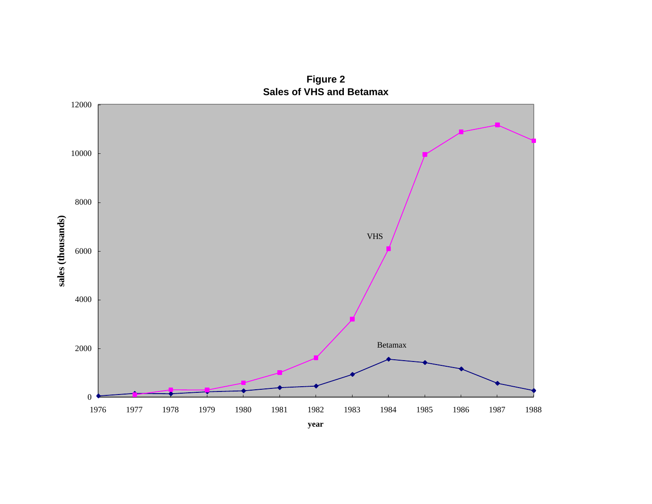

**Figure 2 Sales of VHS and Betamax**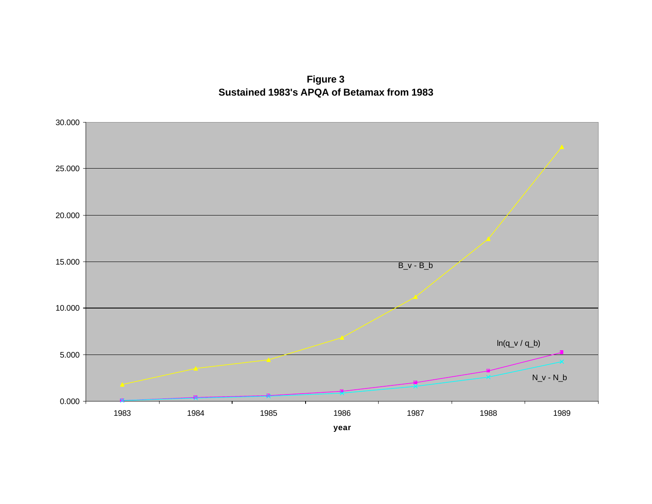**Figure 3 Sustained 1983's APQA of Betamax from 1983**

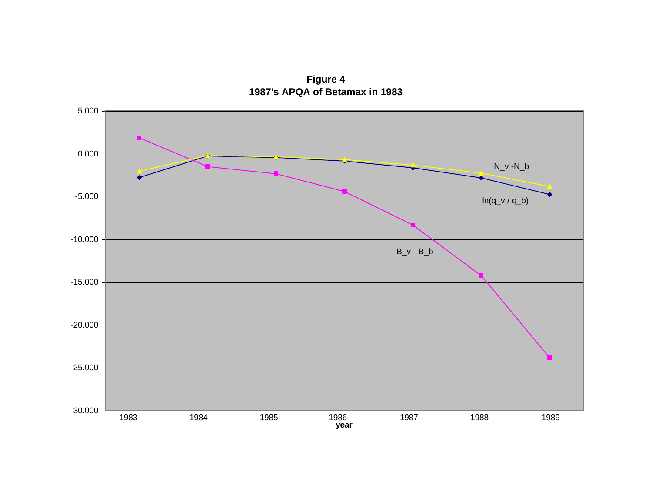**Figure 4 1987's APQA of Betamax in 1983**